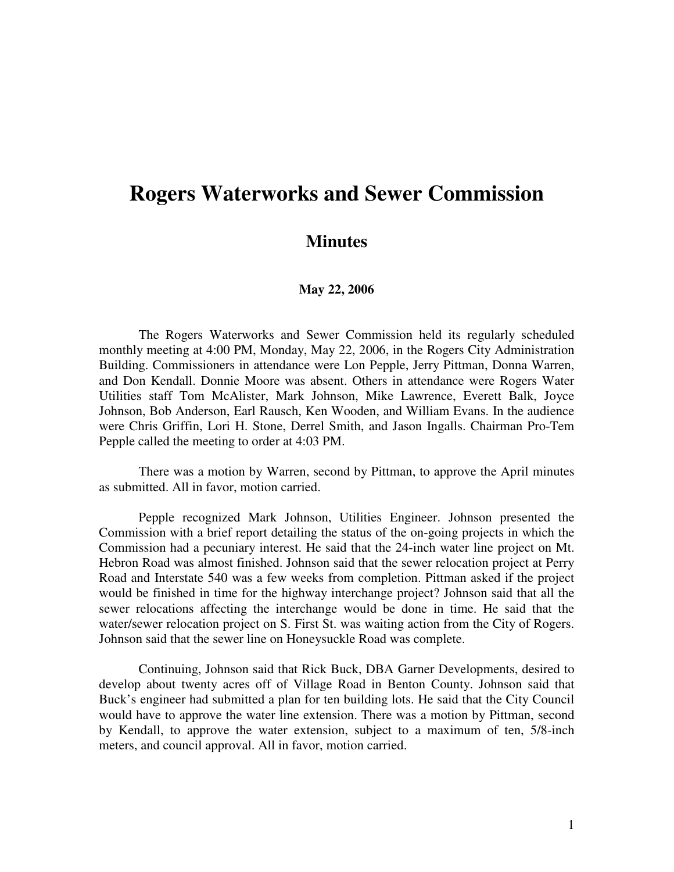## **Rogers Waterworks and Sewer Commission**

## **Minutes**

## **May 22, 2006**

The Rogers Waterworks and Sewer Commission held its regularly scheduled monthly meeting at 4:00 PM, Monday, May 22, 2006, in the Rogers City Administration Building. Commissioners in attendance were Lon Pepple, Jerry Pittman, Donna Warren, and Don Kendall. Donnie Moore was absent. Others in attendance were Rogers Water Utilities staff Tom McAlister, Mark Johnson, Mike Lawrence, Everett Balk, Joyce Johnson, Bob Anderson, Earl Rausch, Ken Wooden, and William Evans. In the audience were Chris Griffin, Lori H. Stone, Derrel Smith, and Jason Ingalls. Chairman Pro-Tem Pepple called the meeting to order at 4:03 PM.

There was a motion by Warren, second by Pittman, to approve the April minutes as submitted. All in favor, motion carried.

Pepple recognized Mark Johnson, Utilities Engineer. Johnson presented the Commission with a brief report detailing the status of the on-going projects in which the Commission had a pecuniary interest. He said that the 24-inch water line project on Mt. Hebron Road was almost finished. Johnson said that the sewer relocation project at Perry Road and Interstate 540 was a few weeks from completion. Pittman asked if the project would be finished in time for the highway interchange project? Johnson said that all the sewer relocations affecting the interchange would be done in time. He said that the water/sewer relocation project on S. First St. was waiting action from the City of Rogers. Johnson said that the sewer line on Honeysuckle Road was complete.

Continuing, Johnson said that Rick Buck, DBA Garner Developments, desired to develop about twenty acres off of Village Road in Benton County. Johnson said that Buck's engineer had submitted a plan for ten building lots. He said that the City Council would have to approve the water line extension. There was a motion by Pittman, second by Kendall, to approve the water extension, subject to a maximum of ten, 5/8-inch meters, and council approval. All in favor, motion carried.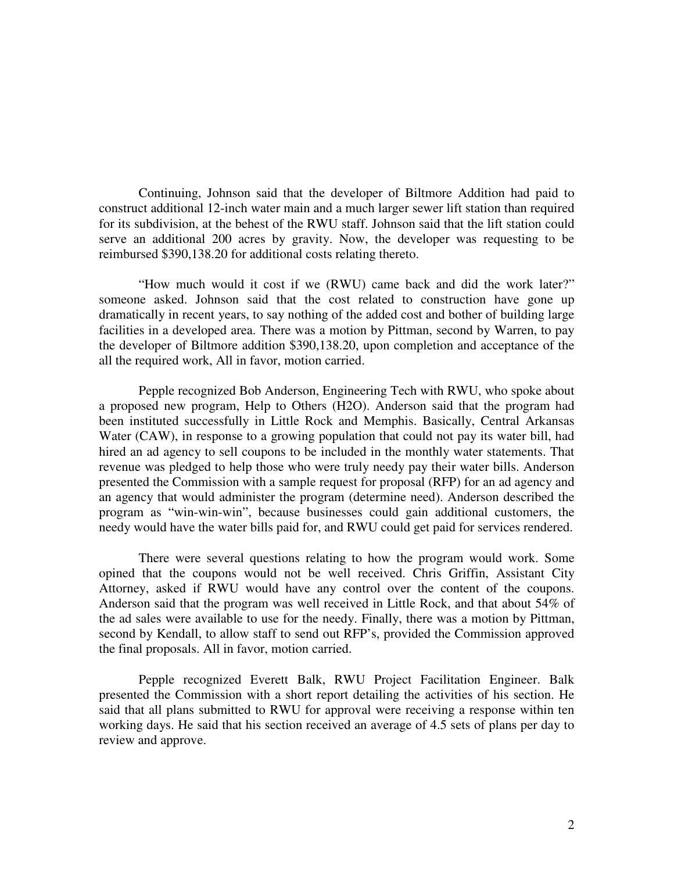Continuing, Johnson said that the developer of Biltmore Addition had paid to construct additional 12-inch water main and a much larger sewer lift station than required for its subdivision, at the behest of the RWU staff. Johnson said that the lift station could serve an additional 200 acres by gravity. Now, the developer was requesting to be reimbursed \$390,138.20 for additional costs relating thereto.

"How much would it cost if we (RWU) came back and did the work later?" someone asked. Johnson said that the cost related to construction have gone up dramatically in recent years, to say nothing of the added cost and bother of building large facilities in a developed area. There was a motion by Pittman, second by Warren, to pay the developer of Biltmore addition \$390,138.20, upon completion and acceptance of the all the required work, All in favor, motion carried.

Pepple recognized Bob Anderson, Engineering Tech with RWU, who spoke about a proposed new program, Help to Others (H2O). Anderson said that the program had been instituted successfully in Little Rock and Memphis. Basically, Central Arkansas Water (CAW), in response to a growing population that could not pay its water bill, had hired an ad agency to sell coupons to be included in the monthly water statements. That revenue was pledged to help those who were truly needy pay their water bills. Anderson presented the Commission with a sample request for proposal (RFP) for an ad agency and an agency that would administer the program (determine need). Anderson described the program as "win-win-win", because businesses could gain additional customers, the needy would have the water bills paid for, and RWU could get paid for services rendered.

There were several questions relating to how the program would work. Some opined that the coupons would not be well received. Chris Griffin, Assistant City Attorney, asked if RWU would have any control over the content of the coupons. Anderson said that the program was well received in Little Rock, and that about 54% of the ad sales were available to use for the needy. Finally, there was a motion by Pittman, second by Kendall, to allow staff to send out RFP's, provided the Commission approved the final proposals. All in favor, motion carried.

Pepple recognized Everett Balk, RWU Project Facilitation Engineer. Balk presented the Commission with a short report detailing the activities of his section. He said that all plans submitted to RWU for approval were receiving a response within ten working days. He said that his section received an average of 4.5 sets of plans per day to review and approve.